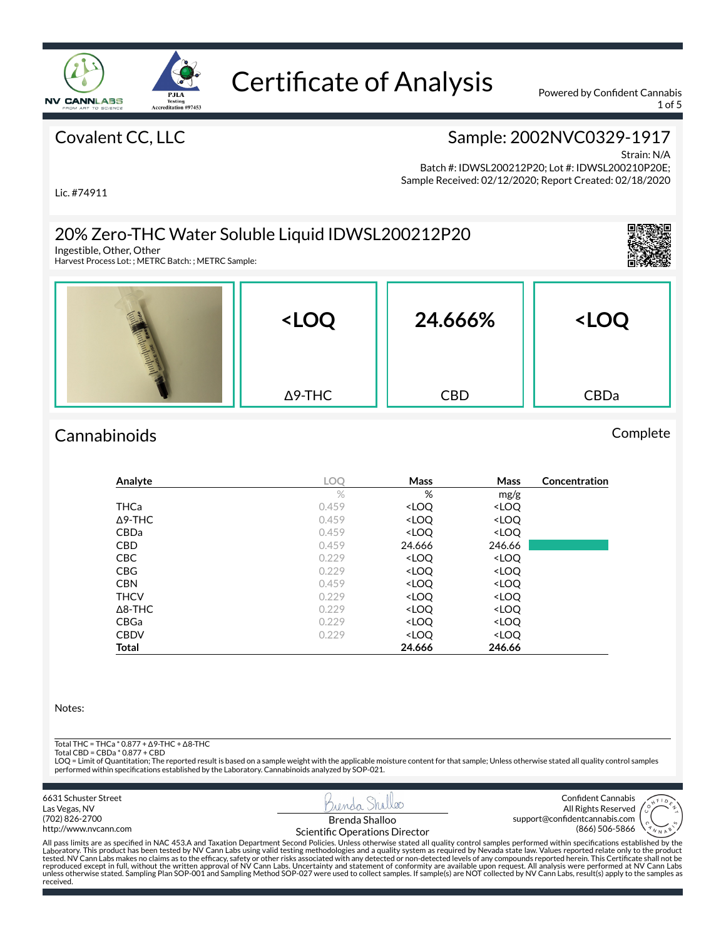

1 of 5

## Covalent CC, LLC

## Sample: 2002NVC0329-1917

Strain: N/A Batch #: IDWSL200212P20; Lot #: IDWSL200210P20E; Sample Received: 02/12/2020; Report Created: 02/18/2020

Lic. #74911

#### 20% Zero-THC Water Soluble Liquid IDWSL200212P20

Ingestible, Other, Other

Harvest Process Lot: ; METRC Batch: ; METRC Sample:

| $\frac{1}{2}$<br><b>Report</b><br><b>MINITE</b> | <loq< th=""><th>24.666%</th><th><loq< th=""></loq<></th></loq<> | 24.666%    | <loq< th=""></loq<> |
|-------------------------------------------------|-----------------------------------------------------------------|------------|---------------------|
|                                                 | $\Delta$ 9-THC                                                  | <b>CBD</b> | CBDa                |

## Cannabinoids Complete

| Analyte        | <b>LOO</b> | Mass                                                     | Mass                         | Concentration |
|----------------|------------|----------------------------------------------------------|------------------------------|---------------|
|                | $\%$       | %                                                        | mg/g                         |               |
| THCa           | 0.459      | <loq< td=""><td><loq< td=""><td></td></loq<></td></loq<> | <loq< td=""><td></td></loq<> |               |
| $\Delta$ 9-THC | 0.459      | <loq< td=""><td><loq< td=""><td></td></loq<></td></loq<> | <loq< td=""><td></td></loq<> |               |
| <b>CBDa</b>    | 0.459      | <loq< td=""><td><loq< td=""><td></td></loq<></td></loq<> | <loq< td=""><td></td></loq<> |               |
| <b>CBD</b>     | 0.459      | 24.666                                                   | 246.66                       |               |
| <b>CBC</b>     | 0.229      | <loq< td=""><td><loq< td=""><td></td></loq<></td></loq<> | <loq< td=""><td></td></loq<> |               |
| <b>CBG</b>     | 0.229      | <loq< td=""><td><loq< td=""><td></td></loq<></td></loq<> | <loq< td=""><td></td></loq<> |               |
| <b>CBN</b>     | 0.459      | <loq< td=""><td><loq< td=""><td></td></loq<></td></loq<> | <loq< td=""><td></td></loq<> |               |
| <b>THCV</b>    | 0.229      | <loq< td=""><td><loq< td=""><td></td></loq<></td></loq<> | <loq< td=""><td></td></loq<> |               |
| $\Delta$ 8-THC | 0.229      | <loq< td=""><td><loq< td=""><td></td></loq<></td></loq<> | <loq< td=""><td></td></loq<> |               |
| <b>CBGa</b>    | 0.229      | <loq< td=""><td><loq< td=""><td></td></loq<></td></loq<> | <loq< td=""><td></td></loq<> |               |
| <b>CBDV</b>    | 0.229      | <loq< td=""><td><loq< td=""><td></td></loq<></td></loq<> | <loq< td=""><td></td></loq<> |               |
| Total          |            | 24.666                                                   | 246.66                       |               |

Notes:

Total THC = THCa \* 0.877 + ∆9-THC + ∆8-THC Total CBD = CBDa \* 0.877 + CBD LOQ = Limit of Quantitation; The reported result is based on a sample weight with the applicable moisture content for that sample; Unless otherwise stated all quality control samples performed within specifications established by the Laboratory. Cannabinoids analyzed by SOP-021.

6631 Schuster Street Las Vegas, NV (702) 826-2700 http://www.nvcann.com



Confident Cannabis All Rights Reserved support@confidentcannabis.com (866) 506-5866



Scientific Operations Director

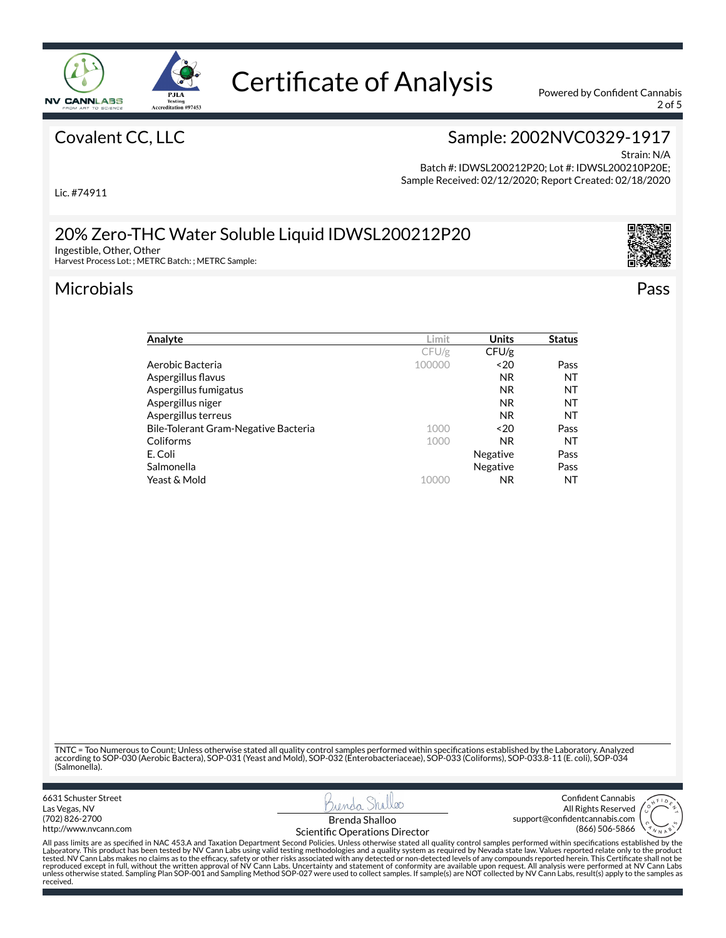

2 of 5

### Covalent CC, LLC

## Sample: 2002NVC0329-1917

Strain: N/A Batch #: IDWSL200212P20; Lot #: IDWSL200210P20E; Sample Received: 02/12/2020; Report Created: 02/18/2020

Lic. #74911

20% Zero-THC Water Soluble Liquid IDWSL200212P20

Ingestible, Other, Other

Harvest Process Lot: ; METRC Batch: ; METRC Sample:

## Microbials Pass

| Analyte                              | Limit  | Units           | <b>Status</b> |
|--------------------------------------|--------|-----------------|---------------|
|                                      | CFU/g  | CFU/g           |               |
| Aerobic Bacteria                     | 100000 | ~120            | Pass          |
| Aspergillus flavus                   |        | N <sub>R</sub>  | NT            |
| Aspergillus fumigatus                |        | N <sub>R</sub>  | NT            |
| Aspergillus niger                    |        | N <sub>R</sub>  | NT            |
| Aspergillus terreus                  |        | N <sub>R</sub>  | NT            |
| Bile-Tolerant Gram-Negative Bacteria | 1000   | ~520            | Pass          |
| Coliforms                            | 1000   | NR.             | NT            |
| E. Coli                              |        | Negative        | Pass          |
| Salmonella                           |        | <b>Negative</b> | Pass          |
| Yeast & Mold                         | 10000  | <b>NR</b>       | NT            |

TNTC = Too Numerous to Count; Unless otherwise stated all quality control samples performed within specifications established by the Laboratory. Analyzed<br>according to SOP-030 (Aerobic Bactera), SOP-031 (Yeast and Mold), SO (Salmonella).

6631 Schuster Street Las Vegas, NV (702) 826-2700 http://www.nvcann.com



Confident Cannabis All Rights Reserved support@confidentcannabis.com (866) 506-5866



Scientific Operations Director

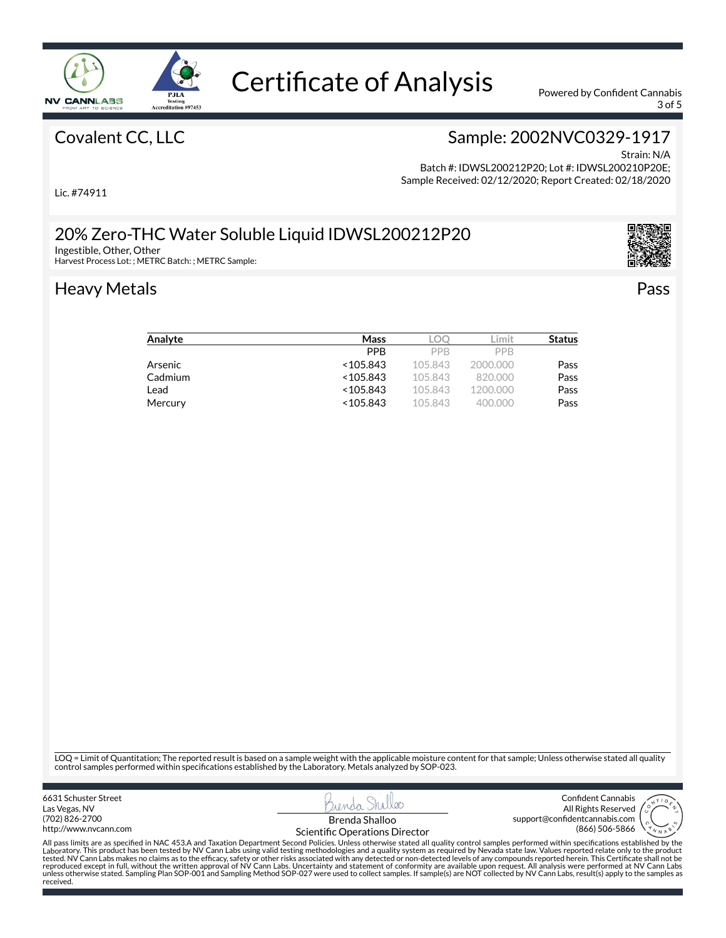

3 of 5

#### Covalent CC, LLC

## Sample: 2002NVC0329-1917

Strain: N/A Batch #: IDWSL200212P20; Lot #: IDWSL200210P20E; Sample Received: 02/12/2020; Report Created: 02/18/2020

Lic. #74911

20% Zero-THC Water Soluble Liquid IDWSL200212P20

Ingestible, Other, Other

Harvest Process Lot: ; METRC Batch: ; METRC Sample:

### Heavy Metals Pass

| Analyte | Mass       | .OC     | imit     | <b>Status</b> |
|---------|------------|---------|----------|---------------|
|         | <b>PPR</b> | PPR     | PPR      |               |
| Arsenic | <105.843   | 105.843 | 2000.000 | Pass          |
| Cadmium | <105.843   | 105.843 | 820.000  | Pass          |
| Lead    | <105.843   | 105.843 | 1200.000 | Pass          |
| Mercury | <105.843   | 105.843 | 400.000  | Pass          |

LOQ = Limit of Quantitation; The reported result is based on a sample weight with the applicable moisture content for that sample; Unless otherwise stated all quality control samples performed within specifications established by the Laboratory. Metals analyzed by SOP-023.

6631 Schuster Street Las Vegas, NV (702) 826-2700 http://www.nvcann.com



Confident Cannabis All Rights Reserved support@confidentcannabis.com (866) 506-5866



All pass limits are as specified in NAC 453.A and Taxation Department Second Policies. Unless otherwise stated all quality control samples performed within specifications established by the<br>Laboratory. This product has bee tested. NV Cann Labs makes no claims as to the efficacy, safety or other risks associated with any detected or non-detected levels of any compounds reported herein. This Certificate shall not be<br>reproduced except in full, received.

Scientific Operations Director

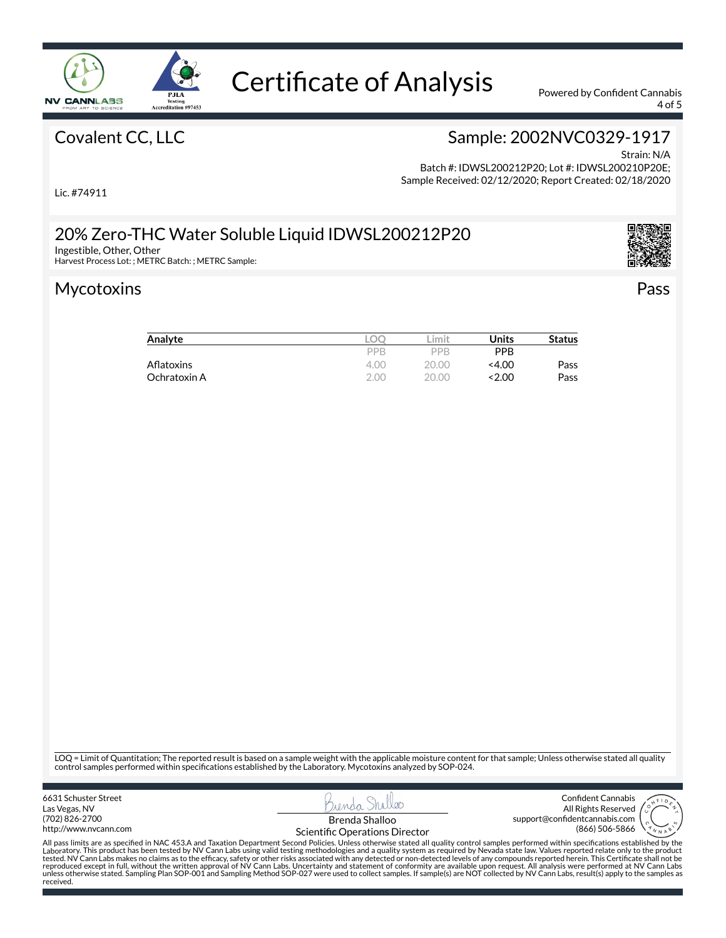

4 of 5

### Covalent CC, LLC

## Sample: 2002NVC0329-1917

Strain: N/A Batch #: IDWSL200212P20; Lot #: IDWSL200210P20E; Sample Received: 02/12/2020; Report Created: 02/18/2020

Lic. #74911

20% Zero-THC Water Soluble Liquid IDWSL200212P20

Ingestible, Other, Other

Harvest Process Lot: ; METRC Batch: ; METRC Sample:

#### Mycotoxins Pass

| Analyte      | LOC  | .imit | Units      | <b>Status</b> |
|--------------|------|-------|------------|---------------|
|              | PPR  | PPR   | <b>PPB</b> |               |
| Aflatoxins   | 4.OC | 20 OC | 4.00       | Pass          |
| Ochratoxin A | 2 OC | 20 OC | <2.00      | Pass          |

LOQ = Limit of Quantitation; The reported result is based on a sample weight with the applicable moisture content for that sample; Unless otherwise stated all quality control samples performed within specifications established by the Laboratory. Mycotoxins analyzed by SOP-024.

6631 Schuster Street Las Vegas, NV (702) 826-2700 http://www.nvcann.com



Scientific Operations Director

Confident Cannabis All Rights Reserved support@confidentcannabis.com (866) 506-5866